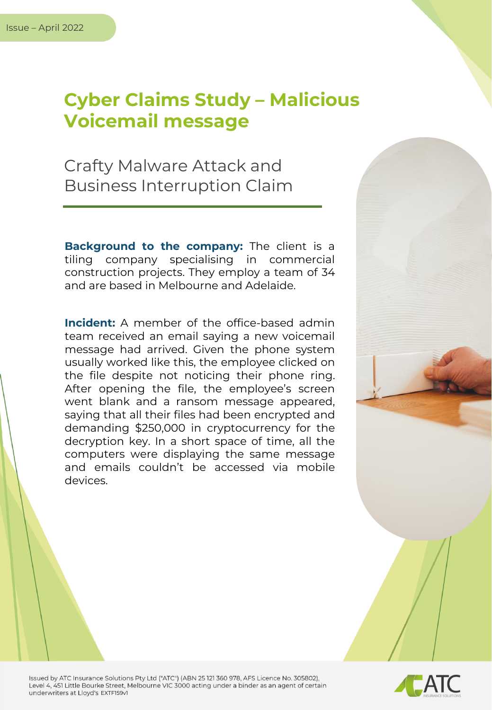## **Cyber Claims Study – Malicious Voicemail message**

Crafty Malware Attack and Business Interruption Claim

**Background to the company:** The client is a tiling company specialising in commercial construction projects. They employ a team of 34 and are based in Melbourne and Adelaide.

**Incident:** A member of the office-based admin team received an email saying a new voicemail message had arrived. Given the phone system usually worked like this, the employee clicked on the file despite not noticing their phone ring. After opening the file, the employee's screen went blank and a ransom message appeared, saying that all their files had been encrypted and demanding \$250,000 in cryptocurrency for the decryption key. In a short space of time, all the computers were displaying the same message and emails couldn't be accessed via mobile devices.



Issued by ATC Insurance Solutions Pty Ltd ("ATC") (ABN 25 121 360 978, AFS Licence No. 305802), Level 4, 451 Little Bourke Street, Melbourne VIC 3000 acting under a binder as an agent of certain underwriters at Lloyd's EXTF159v1